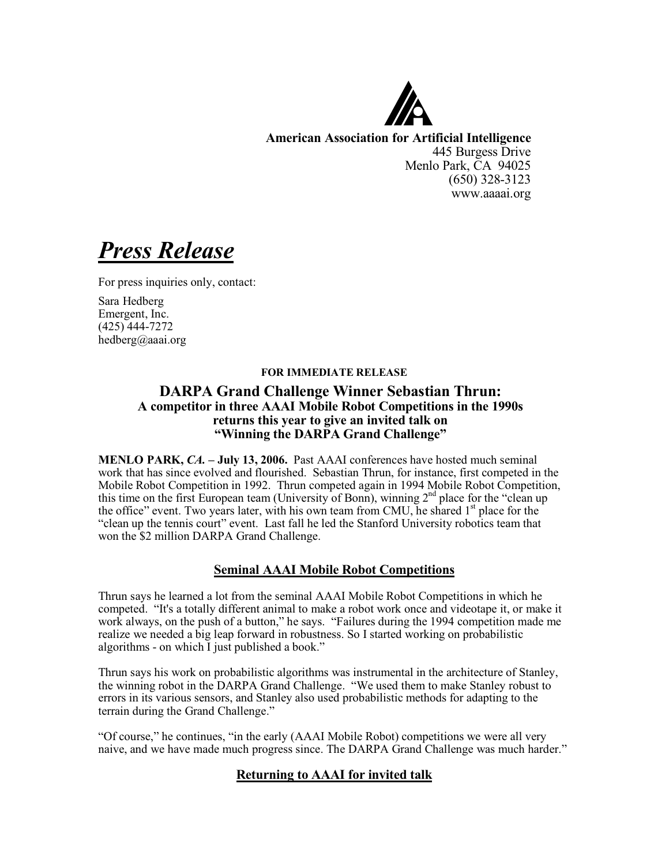

**American Association for Artificial Intelligence** 445 Burgess Drive Menlo Park, CA 94025 (650) 328-3123 www.aaaai.org

*Press Release*

For press inquiries only, contact:

Sara Hedberg Emergent, Inc. (425) 444-7272 hedberg@aaai.org

#### **FOR IMMEDIATE RELEASE**

## **DARPA Grand Challenge Winner Sebastian Thrun: A competitor in three AAAI Mobile Robot Competitions in the 1990s returns this year to give an invited talk on "Winning the DARPA Grand Challenge"**

**MENLO PARK,** *CA.* **– July 13, 2006.** Past AAAI conferences have hosted much seminal work that has since evolved and flourished. Sebastian Thrun, for instance, first competed in the Mobile Robot Competition in 1992. Thrun competed again in 1994 Mobile Robot Competition, this time on the first European team (University of Bonn), winning  $2<sup>nd</sup>$  place for the "clean up the office" event. Two years later, with his own team from CMU, he shared 1<sup>st</sup> place for the "clean up the tennis court" event. Last fall he led the Stanford University robotics team that won the \$2 million DARPA Grand Challenge.

## **Seminal AAAI Mobile Robot Competitions**

Thrun says he learned a lot from the seminal AAAI Mobile Robot Competitions in which he competed. "It's a totally different animal to make a robot work once and videotape it, or make it work always, on the push of a button," he says. "Failures during the 1994 competition made me realize we needed a big leap forward in robustness. So I started working on probabilistic algorithms - on which I just published a book."

Thrun says his work on probabilistic algorithms was instrumental in the architecture of Stanley, the winning robot in the DARPA Grand Challenge. "We used them to make Stanley robust to errors in its various sensors, and Stanley also used probabilistic methods for adapting to the terrain during the Grand Challenge."

"Of course," he continues, "in the early (AAAI Mobile Robot) competitions we were all very naive, and we have made much progress since. The DARPA Grand Challenge was much harder."

# **Returning to AAAI for invited talk**